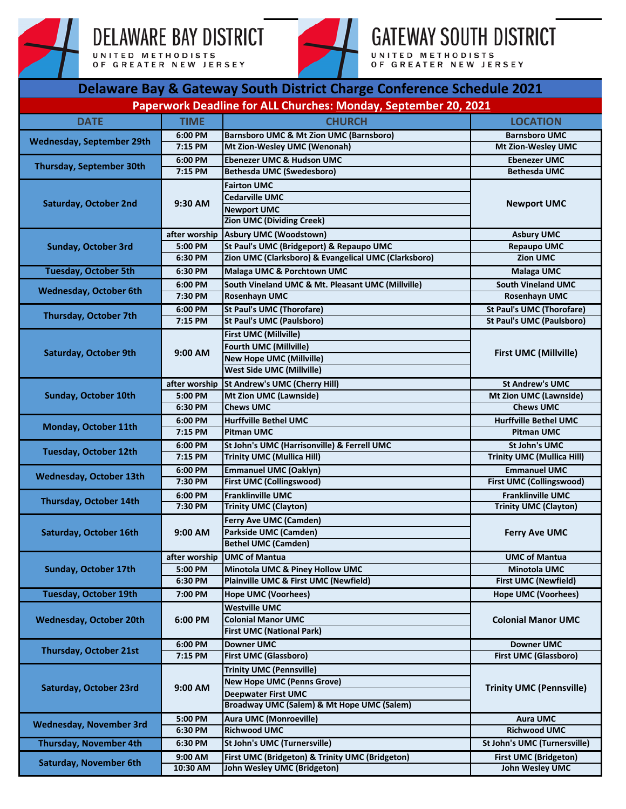

## **DELAWARE BAY DISTRICT**

UNITED METHODISTS<br>OF GREATER NEW JERSEY



**GATEWAY SOUTH DISTRICT** UNITED METHODISTS<br>OF GREATER NEW JERSEY

| Delaware Bay & Gateway South District Charge Conference Schedule 2021 |                    |                                                         |                                                |  |  |
|-----------------------------------------------------------------------|--------------------|---------------------------------------------------------|------------------------------------------------|--|--|
| Paperwork Deadline for ALL Churches: Monday, September 20, 2021       |                    |                                                         |                                                |  |  |
| <b>DATE</b>                                                           | <b>TIME</b>        | <b>CHURCH</b>                                           | <b>LOCATION</b>                                |  |  |
|                                                                       | 6:00 PM            | <b>Barnsboro UMC &amp; Mt Zion UMC (Barnsboro)</b>      | <b>Barnsboro UMC</b>                           |  |  |
| <b>Wednesday, September 29th</b>                                      | 7:15 PM            | Mt Zion-Wesley UMC (Wenonah)                            | Mt Zion-Wesley UMC                             |  |  |
| <b>Thursday, September 30th</b>                                       | 6:00 PM            | <b>Ebenezer UMC &amp; Hudson UMC</b>                    | <b>Ebenezer UMC</b>                            |  |  |
|                                                                       | 7:15 PM            | <b>Bethesda UMC (Swedesboro)</b>                        | <b>Bethesda UMC</b>                            |  |  |
|                                                                       | $9:30$ AM          | <b>Fairton UMC</b>                                      | <b>Newport UMC</b>                             |  |  |
| <b>Saturday, October 2nd</b>                                          |                    | Cedarville UMC                                          |                                                |  |  |
|                                                                       |                    | <b>Newport UMC</b>                                      |                                                |  |  |
|                                                                       |                    | <b>Zion UMC (Dividing Creek)</b>                        |                                                |  |  |
| <b>Sunday, October 3rd</b>                                            | after worship      | <b>Asbury UMC (Woodstown)</b>                           | <b>Asbury UMC</b>                              |  |  |
|                                                                       | 5:00 PM            | St Paul's UMC (Bridgeport) & Repaupo UMC                | <b>Repaupo UMC</b>                             |  |  |
|                                                                       | 6:30 PM            | Zion UMC (Clarksboro) & Evangelical UMC (Clarksboro)    | <b>Zion UMC</b>                                |  |  |
| <b>Tuesday, October 5th</b>                                           | 6:30 PM            | <b>Malaga UMC &amp; Porchtown UMC</b>                   | <b>Malaga UMC</b>                              |  |  |
| <b>Wednesday, October 6th</b>                                         | 6:00 PM            | South Vineland UMC & Mt. Pleasant UMC (Millville)       | South Vineland UMC                             |  |  |
|                                                                       | 7:30 PM            | <b>Rosenhayn UMC</b>                                    | Rosenhayn UMC                                  |  |  |
| Thursday, October 7th                                                 | 6:00 PM            | <b>St Paul's UMC (Thorofare)</b>                        | <b>St Paul's UMC (Thorofare)</b>               |  |  |
|                                                                       | 7:15 PM            | <b>St Paul's UMC (Paulsboro)</b>                        | <b>St Paul's UMC (Paulsboro)</b>               |  |  |
|                                                                       |                    | <b>First UMC (Millville)</b>                            | <b>First UMC (Millville)</b>                   |  |  |
| <b>Saturday, October 9th</b>                                          | $9:00$ AM          | <b>Fourth UMC (Millville)</b>                           |                                                |  |  |
|                                                                       |                    | <b>New Hope UMC (Millville)</b>                         |                                                |  |  |
|                                                                       |                    | <b>West Side UMC (Millville)</b>                        |                                                |  |  |
|                                                                       | after worship      | <b>St Andrew's UMC (Cherry Hill)</b>                    | <b>St Andrew's UMC</b>                         |  |  |
| <b>Sunday, October 10th</b>                                           | 5:00 PM            | <b>Mt Zion UMC (Lawnside)</b>                           | <b>Mt Zion UMC (Lawnside)</b>                  |  |  |
|                                                                       | 6:30 PM            | <b>Chews UMC</b>                                        | <b>Chews UMC</b>                               |  |  |
| Monday, October 11th                                                  | 6:00 PM            | <b>Hurffville Bethel UMC</b>                            | <b>Hurffville Bethel UMC</b>                   |  |  |
|                                                                       | 7:15 PM            | <b>Pitman UMC</b>                                       | <b>Pitman UMC</b>                              |  |  |
| <b>Tuesday, October 12th</b>                                          | 6:00 PM            | St John's UMC (Harrisonville) & Ferrell UMC             | <b>St John's UMC</b>                           |  |  |
|                                                                       | 7:15 PM            | <b>Trinity UMC (Mullica Hill)</b>                       | <b>Trinity UMC (Mullica Hill)</b>              |  |  |
| <b>Wednesday, October 13th</b>                                        | 6:00 PM            | <b>Emmanuel UMC (Oaklyn)</b>                            | <b>Emmanuel UMC</b>                            |  |  |
|                                                                       | 7:30 PM            | <b>First UMC (Collingswood)</b>                         | <b>First UMC (Collingswood)</b>                |  |  |
| Thursday, October 14th                                                | 6:00 PM            | <b>Franklinville UMC</b>                                | <b>Franklinville UMC</b>                       |  |  |
|                                                                       | 7:30 PM            | <b>Trinity UMC (Clayton)</b>                            | <b>Trinity UMC (Clayton)</b>                   |  |  |
|                                                                       | 9:00 AM            | <b>Ferry Ave UMC (Camden)</b>                           | <b>Ferry Ave UMC</b>                           |  |  |
| Saturday, October 16th                                                |                    | Parkside UMC (Camden)                                   |                                                |  |  |
|                                                                       |                    | <b>Bethel UMC (Camden)</b>                              |                                                |  |  |
|                                                                       | after worship      | <b>UMC of Mantua</b><br>Minotola UMC & Piney Hollow UMC | <b>UMC of Mantua</b><br><b>Minotola UMC</b>    |  |  |
| Sunday, October 17th                                                  | 5:00 PM<br>6:30 PM | Plainville UMC & First UMC (Newfield)                   | <b>First UMC (Newfield)</b>                    |  |  |
| <b>Tuesday, October 19th</b>                                          | 7:00 PM            | <b>Hope UMC (Voorhees)</b>                              | <b>Hope UMC (Voorhees)</b>                     |  |  |
|                                                                       |                    | <b>Westville UMC</b>                                    |                                                |  |  |
| <b>Wednesday, October 20th</b>                                        | 6:00 PM<br>6:00 PM | <b>Colonial Manor UMC</b>                               | <b>Colonial Manor UMC</b><br><b>Downer UMC</b> |  |  |
|                                                                       |                    | <b>First UMC (National Park)</b>                        |                                                |  |  |
|                                                                       |                    | <b>Downer UMC</b>                                       |                                                |  |  |
| Thursday, October 21st                                                | 7:15 PM            | <b>First UMC (Glassboro)</b>                            | <b>First UMC (Glassboro)</b>                   |  |  |
|                                                                       | 9:00 AM            | <b>Trinity UMC (Pennsville)</b>                         | <b>Trinity UMC (Pennsville)</b>                |  |  |
| Saturday, October 23rd                                                |                    | <b>New Hope UMC (Penns Grove)</b>                       |                                                |  |  |
|                                                                       |                    | <b>Deepwater First UMC</b>                              |                                                |  |  |
|                                                                       |                    | Broadway UMC (Salem) & Mt Hope UMC (Salem)              |                                                |  |  |
| <b>Wednesday, November 3rd</b>                                        | 5:00 PM            | <b>Aura UMC (Monroeville)</b>                           | <b>Aura UMC</b>                                |  |  |
|                                                                       | 6:30 PM            | <b>Richwood UMC</b>                                     | <b>Richwood UMC</b>                            |  |  |
| <b>Thursday, November 4th</b>                                         | 6:30 PM            | St John's UMC (Turnersville)                            | St John's UMC (Turnersville)                   |  |  |
| <b>Saturday, November 6th</b>                                         | 9:00 AM            | First UMC (Bridgeton) & Trinity UMC (Bridgeton)         | <b>First UMC (Bridgeton)</b>                   |  |  |
|                                                                       | 10:30 AM           | John Wesley UMC (Bridgeton)                             | John Wesley UMC                                |  |  |